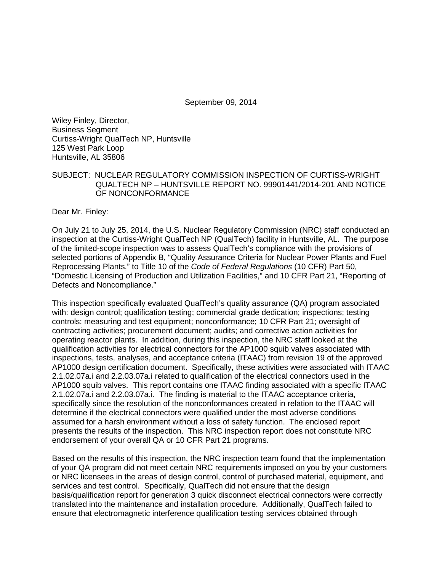September 09, 2014

Wiley Finley, Director, Business Segment Curtiss-Wright QualTech NP, Huntsville 125 West Park Loop Huntsville, AL 35806

### SUBJECT: NUCLEAR REGULATORY COMMISSION INSPECTION OF CURTISS-WRIGHT QUALTECH NP – HUNTSVILLE REPORT NO. 99901441/2014-201 AND NOTICE OF NONCONFORMANCE

Dear Mr. Finley:

On July 21 to July 25, 2014, the U.S. Nuclear Regulatory Commission (NRC) staff conducted an inspection at the Curtiss-Wright QualTech NP (QualTech) facility in Huntsville, AL. The purpose of the limited-scope inspection was to assess QualTech's compliance with the provisions of selected portions of Appendix B, "Quality Assurance Criteria for Nuclear Power Plants and Fuel Reprocessing Plants," to Title 10 of the *Code of Federal Regulations* (10 CFR) Part 50, "Domestic Licensing of Production and Utilization Facilities," and 10 CFR Part 21, "Reporting of Defects and Noncompliance."

This inspection specifically evaluated QualTech's quality assurance (QA) program associated with: design control; qualification testing; commercial grade dedication; inspections; testing controls; measuring and test equipment; nonconformance; 10 CFR Part 21; oversight of contracting activities; procurement document; audits; and corrective action activities for operating reactor plants. In addition, during this inspection, the NRC staff looked at the qualification activities for electrical connectors for the AP1000 squib valves associated with inspections, tests, analyses, and acceptance criteria (ITAAC) from revision 19 of the approved AP1000 design certification document. Specifically, these activities were associated with ITAAC 2.1.02.07a.i and 2.2.03.07a.i related to qualification of the electrical connectors used in the AP1000 squib valves. This report contains one ITAAC finding associated with a specific ITAAC 2.1.02.07a.i and 2.2.03.07a.i. The finding is material to the ITAAC acceptance criteria, specifically since the resolution of the nonconformances created in relation to the ITAAC will determine if the electrical connectors were qualified under the most adverse conditions assumed for a harsh environment without a loss of safety function. The enclosed report presents the results of the inspection. This NRC inspection report does not constitute NRC endorsement of your overall QA or 10 CFR Part 21 programs.

Based on the results of this inspection, the NRC inspection team found that the implementation of your QA program did not meet certain NRC requirements imposed on you by your customers or NRC licensees in the areas of design control, control of purchased material, equipment, and services and test control. Specifically, QualTech did not ensure that the design basis/qualification report for generation 3 quick disconnect electrical connectors were correctly translated into the maintenance and installation procedure. Additionally, QualTech failed to ensure that electromagnetic interference qualification testing services obtained through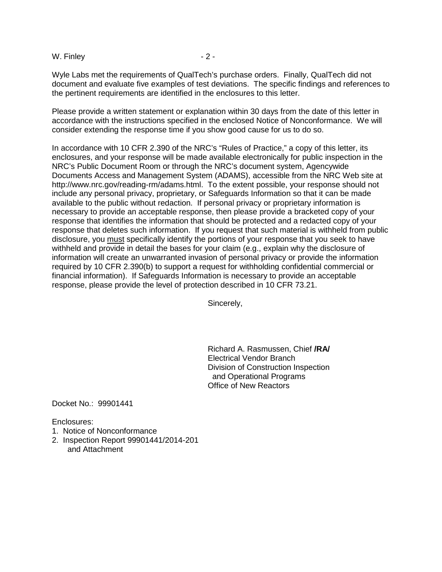W. Finley  $-2-$ 

Wyle Labs met the requirements of QualTech's purchase orders. Finally, QualTech did not document and evaluate five examples of test deviations. The specific findings and references to the pertinent requirements are identified in the enclosures to this letter.

Please provide a written statement or explanation within 30 days from the date of this letter in accordance with the instructions specified in the enclosed Notice of Nonconformance. We will consider extending the response time if you show good cause for us to do so.

In accordance with 10 CFR 2.390 of the NRC's "Rules of Practice," a copy of this letter, its enclosures, and your response will be made available electronically for public inspection in the NRC's Public Document Room or through the NRC's document system, Agencywide Documents Access and Management System (ADAMS), accessible from the NRC Web site at http://www.nrc.gov/reading-rm/adams.html. To the extent possible, your response should not include any personal privacy, proprietary, or Safeguards Information so that it can be made available to the public without redaction. If personal privacy or proprietary information is necessary to provide an acceptable response, then please provide a bracketed copy of your response that identifies the information that should be protected and a redacted copy of your response that deletes such information. If you request that such material is withheld from public disclosure, you must specifically identify the portions of your response that you seek to have withheld and provide in detail the bases for your claim (e.g., explain why the disclosure of information will create an unwarranted invasion of personal privacy or provide the information required by 10 CFR 2.390(b) to support a request for withholding confidential commercial or financial information). If Safeguards Information is necessary to provide an acceptable response, please provide the level of protection described in 10 CFR 73.21.

Sincerely,

Richard A. Rasmussen, Chief **/RA/** Electrical Vendor Branch Division of Construction Inspection and Operational Programs Office of New Reactors

Docket No.: 99901441

Enclosures:

- 1. Notice of Nonconformance
- 2. Inspection Report 99901441/2014-201 and Attachment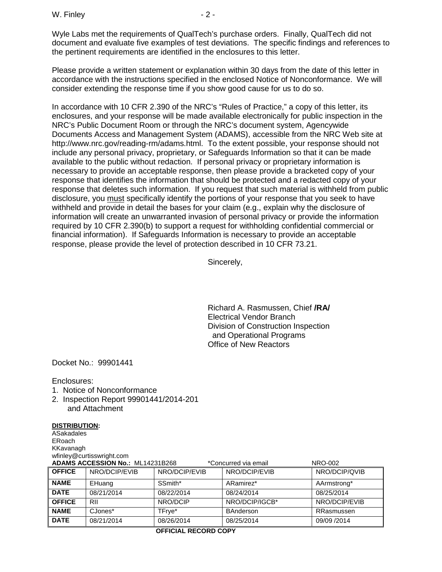Wyle Labs met the requirements of QualTech's purchase orders. Finally, QualTech did not document and evaluate five examples of test deviations. The specific findings and references to the pertinent requirements are identified in the enclosures to this letter.

Please provide a written statement or explanation within 30 days from the date of this letter in accordance with the instructions specified in the enclosed Notice of Nonconformance. We will consider extending the response time if you show good cause for us to do so.

In accordance with 10 CFR 2.390 of the NRC's "Rules of Practice," a copy of this letter, its enclosures, and your response will be made available electronically for public inspection in the NRC's Public Document Room or through the NRC's document system, Agencywide Documents Access and Management System (ADAMS), accessible from the NRC Web site at http://www.nrc.gov/reading-rm/adams.html. To the extent possible, your response should not include any personal privacy, proprietary, or Safeguards Information so that it can be made available to the public without redaction. If personal privacy or proprietary information is necessary to provide an acceptable response, then please provide a bracketed copy of your response that identifies the information that should be protected and a redacted copy of your response that deletes such information. If you request that such material is withheld from public disclosure, you must specifically identify the portions of your response that you seek to have withheld and provide in detail the bases for your claim (e.g., explain why the disclosure of information will create an unwarranted invasion of personal privacy or provide the information required by 10 CFR 2.390(b) to support a request for withholding confidential commercial or financial information). If Safeguards Information is necessary to provide an acceptable response, please provide the level of protection described in 10 CFR 73.21.

Sincerely,

Richard A. Rasmussen, Chief **/RA/** Electrical Vendor Branch Division of Construction Inspection and Operational Programs Office of New Reactors

Docket No.: 99901441

Enclosures:

- 1. Notice of Nonconformance
- 2. Inspection Report 99901441/2014-201 and Attachment

#### **DISTRIBUTION:**

**ASakadales** ERoach KKavanagh wfinley@curtisswright.com

| ADAMS ACCESSION No.: ML14231B268<br><b>NRO-002</b><br>*Concurred via email |               |               |                  |               |
|----------------------------------------------------------------------------|---------------|---------------|------------------|---------------|
| <b>OFFICE</b>                                                              | NRO/DCIP/EVIB | NRO/DCIP/EVIB | NRO/DCIP/EVIB    | NRO/DCIP/QVIB |
| <b>NAME</b>                                                                | EHuang        | SSmith*       | ARamirez*        | AArmstrong*   |
| <b>DATE</b>                                                                | 08/21/2014    | 08/22/2014    | 08/24/2014       | 08/25/2014    |
| <b>OFFICE</b>                                                              | RII           | NRO/DCIP      | NRO/DCIP/IGCB*   | NRO/DCIP/EVIB |
| <b>NAME</b>                                                                | CJones*       | TFrye*        | <b>BAnderson</b> | RRasmussen    |
| <b>DATE</b>                                                                | 08/21/2014    | 08/26/2014    | 08/25/2014       | 09/09 /2014   |

#### **OFFICIAL RECORD COPY**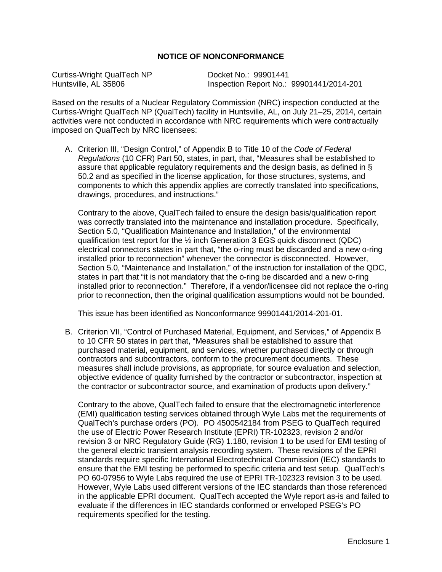### **NOTICE OF NONCONFORMANCE**

Curtiss-Wright QualTech NP **Docket No.: 99901441**<br>
Huntsville, AL 35806 **Discript Almany Control** Inspection Report No.:

Inspection Report No.: 99901441/2014-201

Based on the results of a Nuclear Regulatory Commission (NRC) inspection conducted at the Curtiss-Wright QualTech NP (QualTech) facility in Huntsville, AL, on July 21–25, 2014, certain activities were not conducted in accordance with NRC requirements which were contractually imposed on QualTech by NRC licensees:

A. Criterion III, "Design Control," of Appendix B to Title 10 of the *Code of Federal Regulations* (10 CFR) Part 50, states, in part, that, "Measures shall be established to assure that applicable regulatory requirements and the design basis, as defined in § 50.2 and as specified in the license application, for those structures, systems, and components to which this appendix applies are correctly translated into specifications, drawings, procedures, and instructions."

Contrary to the above, QualTech failed to ensure the design basis/qualification report was correctly translated into the maintenance and installation procedure. Specifically, Section 5.0, "Qualification Maintenance and Installation," of the environmental qualification test report for the  $\frac{1}{2}$  inch Generation 3 EGS quick disconnect (QDC) electrical connectors states in part that, "the o-ring must be discarded and a new o-ring installed prior to reconnection" whenever the connector is disconnected. However, Section 5.0, "Maintenance and Installation," of the instruction for installation of the QDC, states in part that "it is not mandatory that the o-ring be discarded and a new o-ring installed prior to reconnection." Therefore, if a vendor/licensee did not replace the o-ring prior to reconnection, then the original qualification assumptions would not be bounded.

This issue has been identified as Nonconformance 99901441/2014-201-01.

B. Criterion VII, "Control of Purchased Material, Equipment, and Services," of Appendix B to 10 CFR 50 states in part that, "Measures shall be established to assure that purchased material, equipment, and services, whether purchased directly or through contractors and subcontractors, conform to the procurement documents. These measures shall include provisions, as appropriate, for source evaluation and selection, objective evidence of quality furnished by the contractor or subcontractor, inspection at the contractor or subcontractor source, and examination of products upon delivery."

Contrary to the above, QualTech failed to ensure that the electromagnetic interference (EMI) qualification testing services obtained through Wyle Labs met the requirements of QualTech's purchase orders (PO). PO 4500542184 from PSEG to QualTech required the use of Electric Power Research Institute (EPRI) TR-102323, revision 2 and/or revision 3 or NRC Regulatory Guide (RG) 1.180, revision 1 to be used for EMI testing of the general electric transient analysis recording system. These revisions of the EPRI standards require specific International Electrotechnical Commission (IEC) standards to ensure that the EMI testing be performed to specific criteria and test setup. QualTech's PO 60-07956 to Wyle Labs required the use of EPRI TR-102323 revision 3 to be used. However, Wyle Labs used different versions of the IEC standards than those referenced in the applicable EPRI document. QualTech accepted the Wyle report as-is and failed to evaluate if the differences in IEC standards conformed or enveloped PSEG's PO requirements specified for the testing.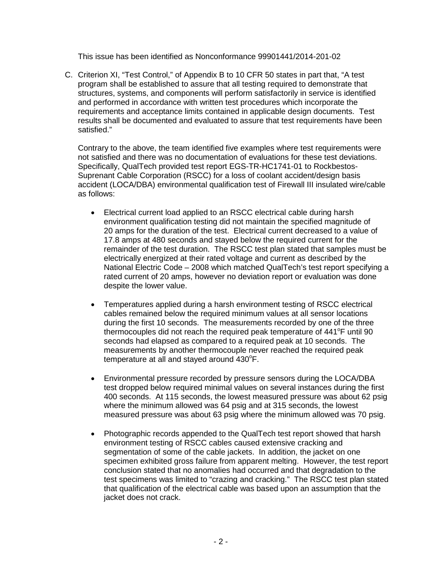This issue has been identified as Nonconformance 99901441/2014-201-02

C. Criterion XI, "Test Control," of Appendix B to 10 CFR 50 states in part that, "A test program shall be established to assure that all testing required to demonstrate that structures, systems, and components will perform satisfactorily in service is identified and performed in accordance with written test procedures which incorporate the requirements and acceptance limits contained in applicable design documents. Test results shall be documented and evaluated to assure that test requirements have been satisfied."

Contrary to the above, the team identified five examples where test requirements were not satisfied and there was no documentation of evaluations for these test deviations. Specifically, QualTech provided test report EGS-TR-HC1741-01 to Rockbestos-Suprenant Cable Corporation (RSCC) for a loss of coolant accident/design basis accident (LOCA/DBA) environmental qualification test of Firewall III insulated wire/cable as follows:

- Electrical current load applied to an RSCC electrical cable during harsh environment qualification testing did not maintain the specified magnitude of 20 amps for the duration of the test. Electrical current decreased to a value of 17.8 amps at 480 seconds and stayed below the required current for the remainder of the test duration. The RSCC test plan stated that samples must be electrically energized at their rated voltage and current as described by the National Electric Code – 2008 which matched QualTech's test report specifying a rated current of 20 amps, however no deviation report or evaluation was done despite the lower value.
- Temperatures applied during a harsh environment testing of RSCC electrical cables remained below the required minimum values at all sensor locations during the first 10 seconds. The measurements recorded by one of the three thermocouples did not reach the required peak temperature of  $441^{\circ}$ F until 90 seconds had elapsed as compared to a required peak at 10 seconds. The measurements by another thermocouple never reached the required peak temperature at all and stayed around  $430^{\circ}$ F.
- Environmental pressure recorded by pressure sensors during the LOCA/DBA test dropped below required minimal values on several instances during the first 400 seconds. At 115 seconds, the lowest measured pressure was about 62 psig where the minimum allowed was 64 psig and at 315 seconds, the lowest measured pressure was about 63 psig where the minimum allowed was 70 psig.
- Photographic records appended to the QualTech test report showed that harsh environment testing of RSCC cables caused extensive cracking and segmentation of some of the cable jackets. In addition, the jacket on one specimen exhibited gross failure from apparent melting. However, the test report conclusion stated that no anomalies had occurred and that degradation to the test specimens was limited to "crazing and cracking." The RSCC test plan stated that qualification of the electrical cable was based upon an assumption that the jacket does not crack.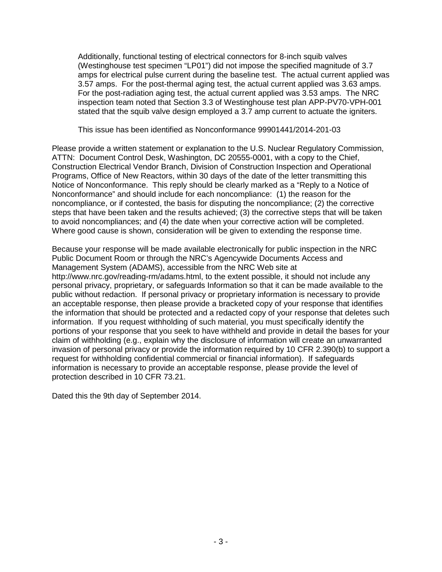Additionally, functional testing of electrical connectors for 8-inch squib valves (Westinghouse test specimen "LP01") did not impose the specified magnitude of 3.7 amps for electrical pulse current during the baseline test. The actual current applied was 3.57 amps. For the post-thermal aging test, the actual current applied was 3.63 amps. For the post-radiation aging test, the actual current applied was 3.53 amps. The NRC inspection team noted that Section 3.3 of Westinghouse test plan APP-PV70-VPH-001 stated that the squib valve design employed a 3.7 amp current to actuate the igniters.

This issue has been identified as Nonconformance 99901441/2014-201-03

Please provide a written statement or explanation to the U.S. Nuclear Regulatory Commission, ATTN: Document Control Desk, Washington, DC 20555-0001, with a copy to the Chief, Construction Electrical Vendor Branch, Division of Construction Inspection and Operational Programs, Office of New Reactors, within 30 days of the date of the letter transmitting this Notice of Nonconformance. This reply should be clearly marked as a "Reply to a Notice of Nonconformance" and should include for each noncompliance: (1) the reason for the noncompliance, or if contested, the basis for disputing the noncompliance; (2) the corrective steps that have been taken and the results achieved; (3) the corrective steps that will be taken to avoid noncompliances; and (4) the date when your corrective action will be completed. Where good cause is shown, consideration will be given to extending the response time.

Because your response will be made available electronically for public inspection in the NRC Public Document Room or through the NRC's Agencywide Documents Access and Management System (ADAMS), accessible from the NRC Web site at http://www.nrc.gov/reading-rm/adams.html, to the extent possible, it should not include any personal privacy, proprietary, or safeguards Information so that it can be made available to the public without redaction. If personal privacy or proprietary information is necessary to provide an acceptable response, then please provide a bracketed copy of your response that identifies the information that should be protected and a redacted copy of your response that deletes such information. If you request withholding of such material, you must specifically identify the portions of your response that you seek to have withheld and provide in detail the bases for your claim of withholding (e.g., explain why the disclosure of information will create an unwarranted invasion of personal privacy or provide the information required by 10 CFR 2.390(b) to support a request for withholding confidential commercial or financial information). If safeguards information is necessary to provide an acceptable response, please provide the level of protection described in 10 CFR 73.21.

Dated this the 9th day of September 2014.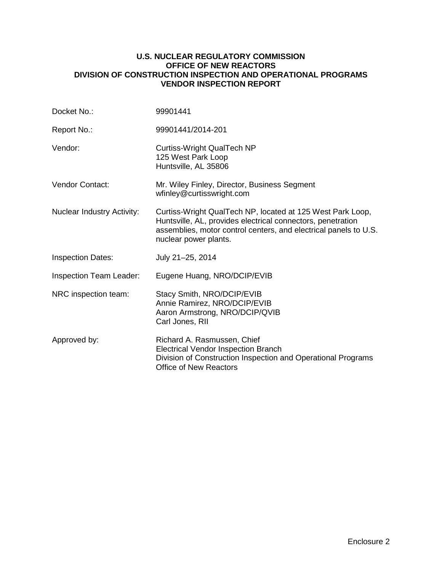### **U.S. NUCLEAR REGULATORY COMMISSION OFFICE OF NEW REACTORS DIVISION OF CONSTRUCTION INSPECTION AND OPERATIONAL PROGRAMS VENDOR INSPECTION REPORT**

| Docket No.:                       | 99901441                                                                                                                                                                                                               |
|-----------------------------------|------------------------------------------------------------------------------------------------------------------------------------------------------------------------------------------------------------------------|
| Report No.:                       | 99901441/2014-201                                                                                                                                                                                                      |
| Vendor:                           | Curtiss-Wright QualTech NP<br>125 West Park Loop<br>Huntsville, AL 35806                                                                                                                                               |
| <b>Vendor Contact:</b>            | Mr. Wiley Finley, Director, Business Segment<br>wfinley@curtisswright.com                                                                                                                                              |
| <b>Nuclear Industry Activity:</b> | Curtiss-Wright QualTech NP, located at 125 West Park Loop,<br>Huntsville, AL, provides electrical connectors, penetration<br>assemblies, motor control centers, and electrical panels to U.S.<br>nuclear power plants. |
| <b>Inspection Dates:</b>          | July 21-25, 2014                                                                                                                                                                                                       |
| <b>Inspection Team Leader:</b>    | Eugene Huang, NRO/DCIP/EVIB                                                                                                                                                                                            |
| NRC inspection team:              | Stacy Smith, NRO/DCIP/EVIB<br>Annie Ramirez, NRO/DCIP/EVIB<br>Aaron Armstrong, NRO/DCIP/QVIB<br>Carl Jones, RII                                                                                                        |
| Approved by:                      | Richard A. Rasmussen, Chief<br><b>Electrical Vendor Inspection Branch</b><br>Division of Construction Inspection and Operational Programs<br><b>Office of New Reactors</b>                                             |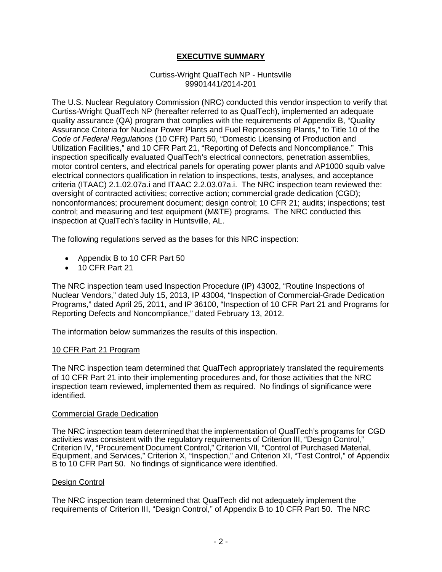## **EXECUTIVE SUMMARY**

#### Curtiss-Wright QualTech NP - Huntsville 99901441/2014-201

The U.S. Nuclear Regulatory Commission (NRC) conducted this vendor inspection to verify that Curtiss-Wright QualTech NP (hereafter referred to as QualTech), implemented an adequate quality assurance (QA) program that complies with the requirements of Appendix B, "Quality Assurance Criteria for Nuclear Power Plants and Fuel Reprocessing Plants," to Title 10 of the *Code of Federal Regulations* (10 CFR) Part 50, "Domestic Licensing of Production and Utilization Facilities," and 10 CFR Part 21, "Reporting of Defects and Noncompliance." This inspection specifically evaluated QualTech's electrical connectors, penetration assemblies, motor control centers, and electrical panels for operating power plants and AP1000 squib valve electrical connectors qualification in relation to inspections, tests, analyses, and acceptance criteria (ITAAC) 2.1.02.07a.i and ITAAC 2.2.03.07a.i. The NRC inspection team reviewed the: oversight of contracted activities; corrective action; commercial grade dedication (CGD); nonconformances; procurement document; design control; 10 CFR 21; audits; inspections; test control; and measuring and test equipment (M&TE) programs. The NRC conducted this inspection at QualTech's facility in Huntsville, AL.

The following regulations served as the bases for this NRC inspection:

- Appendix B to 10 CFR Part 50
- 10 CFR Part 21

The NRC inspection team used Inspection Procedure (IP) 43002, "Routine Inspections of Nuclear Vendors," dated July 15, 2013, IP 43004, "Inspection of Commercial-Grade Dedication Programs," dated April 25, 2011, and IP 36100, "Inspection of 10 CFR Part 21 and Programs for Reporting Defects and Noncompliance," dated February 13, 2012.

The information below summarizes the results of this inspection.

#### 10 CFR Part 21 Program

The NRC inspection team determined that QualTech appropriately translated the requirements of 10 CFR Part 21 into their implementing procedures and, for those activities that the NRC inspection team reviewed, implemented them as required. No findings of significance were identified.

#### Commercial Grade Dedication

The NRC inspection team determined that the implementation of QualTech's programs for CGD activities was consistent with the regulatory requirements of Criterion III, "Design Control," Criterion IV, "Procurement Document Control," Criterion VII, "Control of Purchased Material, Equipment, and Services," Criterion X, "Inspection," and Criterion XI, "Test Control," of Appendix B to 10 CFR Part 50. No findings of significance were identified.

#### Design Control

The NRC inspection team determined that QualTech did not adequately implement the requirements of Criterion III, "Design Control," of Appendix B to 10 CFR Part 50. The NRC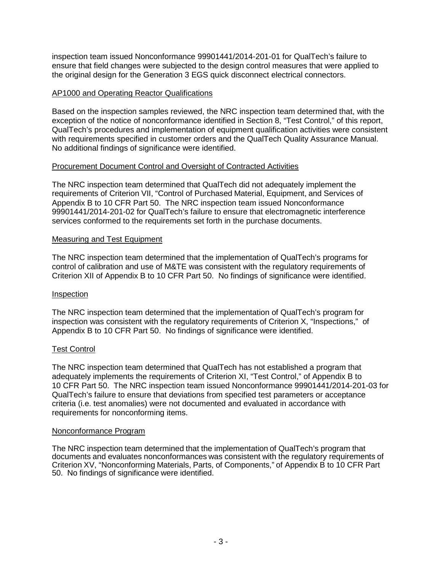inspection team issued Nonconformance 99901441/2014-201-01 for QualTech's failure to ensure that field changes were subjected to the design control measures that were applied to the original design for the Generation 3 EGS quick disconnect electrical connectors.

### AP1000 and Operating Reactor Qualifications

Based on the inspection samples reviewed, the NRC inspection team determined that, with the exception of the notice of nonconformance identified in Section 8, "Test Control," of this report, QualTech's procedures and implementation of equipment qualification activities were consistent with requirements specified in customer orders and the QualTech Quality Assurance Manual. No additional findings of significance were identified.

## Procurement Document Control and Oversight of Contracted Activities

The NRC inspection team determined that QualTech did not adequately implement the requirements of Criterion VII, "Control of Purchased Material, Equipment, and Services of Appendix B to 10 CFR Part 50. The NRC inspection team issued Nonconformance 99901441/2014-201-02 for QualTech's failure to ensure that electromagnetic interference services conformed to the requirements set forth in the purchase documents.

### Measuring and Test Equipment

The NRC inspection team determined that the implementation of QualTech's programs for control of calibration and use of M&TE was consistent with the regulatory requirements of Criterion XII of Appendix B to 10 CFR Part 50. No findings of significance were identified.

### **Inspection**

The NRC inspection team determined that the implementation of QualTech's program for inspection was consistent with the regulatory requirements of Criterion X, "Inspections," of Appendix B to 10 CFR Part 50. No findings of significance were identified.

### Test Control

The NRC inspection team determined that QualTech has not established a program that adequately implements the requirements of Criterion XI, "Test Control," of Appendix B to 10 CFR Part 50. The NRC inspection team issued Nonconformance 99901441/2014-201-03 for QualTech's failure to ensure that deviations from specified test parameters or acceptance criteria (i.e. test anomalies) were not documented and evaluated in accordance with requirements for nonconforming items.

#### Nonconformance Program

The NRC inspection team determined that the implementation of QualTech's program that documents and evaluates nonconformances was consistent with the regulatory requirements of Criterion XV, "Nonconforming Materials, Parts, of Components," of Appendix B to 10 CFR Part 50. No findings of significance were identified.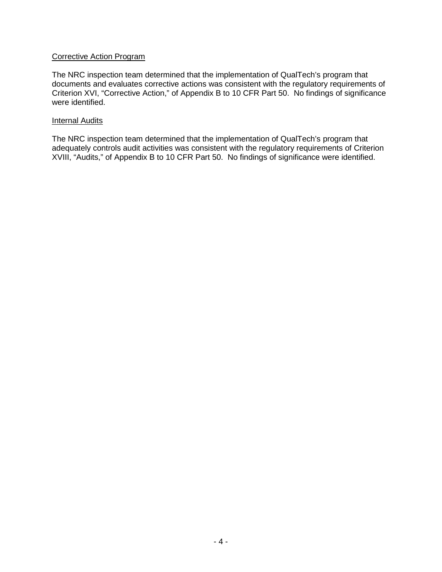### Corrective Action Program

The NRC inspection team determined that the implementation of QualTech's program that documents and evaluates corrective actions was consistent with the regulatory requirements of Criterion XVI, "Corrective Action," of Appendix B to 10 CFR Part 50. No findings of significance were identified.

#### **Internal Audits**

The NRC inspection team determined that the implementation of QualTech's program that adequately controls audit activities was consistent with the regulatory requirements of Criterion XVIII, "Audits," of Appendix B to 10 CFR Part 50. No findings of significance were identified.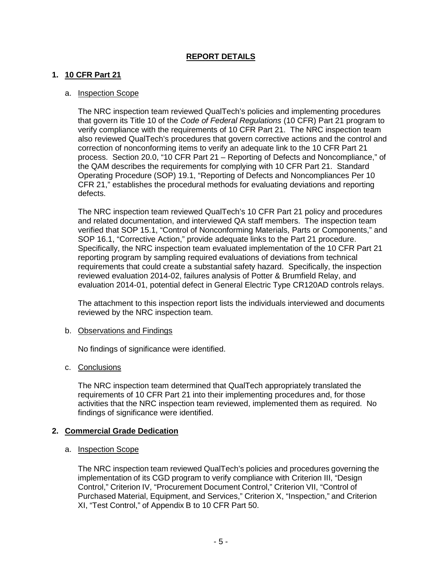# **REPORT DETAILS**

### **1. 10 CFR Part 21**

### a. Inspection Scope

The NRC inspection team reviewed QualTech's policies and implementing procedures that govern its Title 10 of the *Code of Federal Regulations* (10 CFR) Part 21 program to verify compliance with the requirements of 10 CFR Part 21. The NRC inspection team also reviewed QualTech's procedures that govern corrective actions and the control and correction of nonconforming items to verify an adequate link to the 10 CFR Part 21 process. Section 20.0, "10 CFR Part 21 – Reporting of Defects and Noncompliance," of the QAM describes the requirements for complying with 10 CFR Part 21. Standard Operating Procedure (SOP) 19.1, "Reporting of Defects and Noncompliances Per 10 CFR 21," establishes the procedural methods for evaluating deviations and reporting defects.

The NRC inspection team reviewed QualTech's 10 CFR Part 21 policy and procedures and related documentation, and interviewed QA staff members. The inspection team verified that SOP 15.1, "Control of Nonconforming Materials, Parts or Components," and SOP 16.1, "Corrective Action," provide adequate links to the Part 21 procedure. Specifically, the NRC inspection team evaluated implementation of the 10 CFR Part 21 reporting program by sampling required evaluations of deviations from technical requirements that could create a substantial safety hazard. Specifically, the inspection reviewed evaluation 2014-02, failures analysis of Potter & Brumfield Relay, and evaluation 2014-01, potential defect in General Electric Type CR120AD controls relays.

The attachment to this inspection report lists the individuals interviewed and documents reviewed by the NRC inspection team.

#### b. Observations and Findings

No findings of significance were identified.

#### c. Conclusions

The NRC inspection team determined that QualTech appropriately translated the requirements of 10 CFR Part 21 into their implementing procedures and, for those activities that the NRC inspection team reviewed, implemented them as required. No findings of significance were identified.

#### **2. Commercial Grade Dedication**

#### a. Inspection Scope

The NRC inspection team reviewed QualTech's policies and procedures governing the implementation of its CGD program to verify compliance with Criterion III, "Design Control," Criterion IV, "Procurement Document Control," Criterion VII, "Control of Purchased Material, Equipment, and Services," Criterion X, "Inspection," and Criterion XI, "Test Control," of Appendix B to 10 CFR Part 50.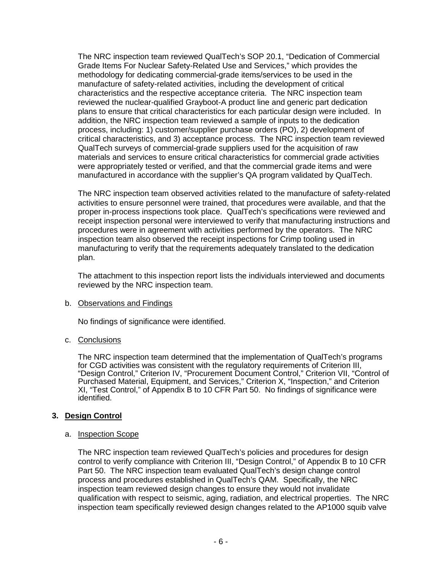The NRC inspection team reviewed QualTech's SOP 20.1, "Dedication of Commercial Grade Items For Nuclear Safety-Related Use and Services," which provides the methodology for dedicating commercial-grade items/services to be used in the manufacture of safety-related activities, including the development of critical characteristics and the respective acceptance criteria. The NRC inspection team reviewed the nuclear-qualified Grayboot-A product line and generic part dedication plans to ensure that critical characteristics for each particular design were included. In addition, the NRC inspection team reviewed a sample of inputs to the dedication process, including: 1) customer/supplier purchase orders (PO), 2) development of critical characteristics, and 3) acceptance process. The NRC inspection team reviewed QualTech surveys of commercial-grade suppliers used for the acquisition of raw materials and services to ensure critical characteristics for commercial grade activities were appropriately tested or verified, and that the commercial grade items and were manufactured in accordance with the supplier's QA program validated by QualTech.

The NRC inspection team observed activities related to the manufacture of safety-related activities to ensure personnel were trained, that procedures were available, and that the proper in-process inspections took place. QualTech's specifications were reviewed and receipt inspection personal were interviewed to verify that manufacturing instructions and procedures were in agreement with activities performed by the operators. The NRC inspection team also observed the receipt inspections for Crimp tooling used in manufacturing to verify that the requirements adequately translated to the dedication plan.

The attachment to this inspection report lists the individuals interviewed and documents reviewed by the NRC inspection team.

### b. Observations and Findings

No findings of significance were identified.

# c. Conclusions

The NRC inspection team determined that the implementation of QualTech's programs for CGD activities was consistent with the regulatory requirements of Criterion III, "Design Control," Criterion IV, "Procurement Document Control," Criterion VII, "Control of Purchased Material, Equipment, and Services," Criterion X, "Inspection," and Criterion XI, "Test Control," of Appendix B to 10 CFR Part 50. No findings of significance were identified.

# **3. Design Control**

### a. Inspection Scope

The NRC inspection team reviewed QualTech's policies and procedures for design control to verify compliance with Criterion III, "Design Control," of Appendix B to 10 CFR Part 50. The NRC inspection team evaluated QualTech's design change control process and procedures established in QualTech's QAM. Specifically, the NRC inspection team reviewed design changes to ensure they would not invalidate qualification with respect to seismic, aging, radiation, and electrical properties. The NRC inspection team specifically reviewed design changes related to the AP1000 squib valve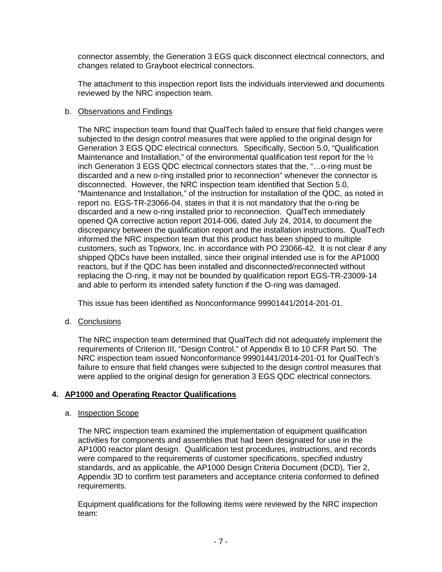connector assembly, the Generation 3 EGS quick disconnect electrical connectors, and changes related to Grayboot electrical connectors.

The attachment to this inspection report lists the individuals interviewed and documents reviewed by the NRC inspection team.

### b. Observations and Findings

The NRC inspection team found that QualTech failed to ensure that field changes were subjected to the design control measures that were applied to the original design for Generation 3 EGS QDC electrical connectors. Specifically, Section 5.0, "Qualification Maintenance and Installation," of the environmental qualification test report for the  $\frac{1}{2}$ inch Generation 3 EGS QDC electrical connectors states that the, "…o-ring must be discarded and a new o-ring installed prior to reconnection" whenever the connector is disconnected. However, the NRC inspection team identified that Section 5.0, "Maintenance and Installation," of the instruction for installation of the QDC, as noted in report no. EGS-TR-23066-04, states in that it is not mandatory that the o-ring be discarded and a new o-ring installed prior to reconnection. QualTech immediately opened QA corrective action report 2014-006, dated July 24, 2014, to document the discrepancy between the qualification report and the installation instructions. QualTech informed the NRC inspection team that this product has been shipped to multiple customers, such as Topworx, Inc. in accordance with PO 23066-42. It is not clear if any shipped QDCs have been installed, since their original intended use is for the AP1000 reactors, but if the QDC has been installed and disconnected/reconnected without replacing the O-ring, it may not be bounded by qualification report EGS-TR-23009-14 and able to perform its intended safety function if the O-ring was damaged.

This issue has been identified as Nonconformance 99901441/2014-201-01.

d. Conclusions

The NRC inspection team determined that QualTech did not adequately implement the requirements of Criterion III, "Design Control," of Appendix B to 10 CFR Part 50. The NRC inspection team issued Nonconformance 99901441/2014-201-01 for QualTech's failure to ensure that field changes were subjected to the design control measures that were applied to the original design for generation 3 EGS QDC electrical connectors.

### **4. AP1000 and Operating Reactor Qualifications**

### a. Inspection Scope

The NRC inspection team examined the implementation of equipment qualification activities for components and assemblies that had been designated for use in the AP1000 reactor plant design. Qualification test procedures, instructions, and records were compared to the requirements of customer specifications, specified industry standards, and as applicable, the AP1000 Design Criteria Document (DCD), Tier 2, Appendix 3D to confirm test parameters and acceptance criteria conformed to defined requirements.

Equipment qualifications for the following items were reviewed by the NRC inspection team: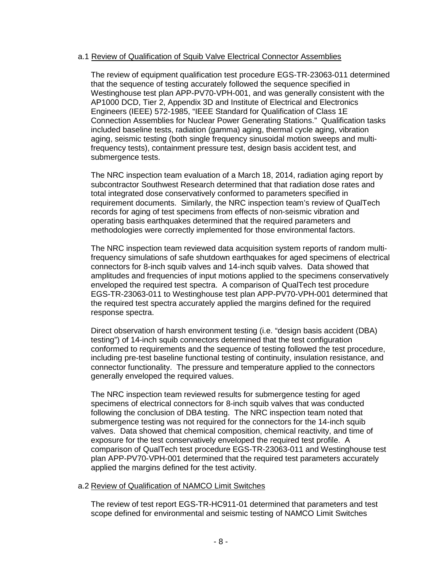#### a.1 Review of Qualification of Squib Valve Electrical Connector Assemblies

The review of equipment qualification test procedure EGS-TR-23063-011 determined that the sequence of testing accurately followed the sequence specified in Westinghouse test plan APP-PV70-VPH-001, and was generally consistent with the AP1000 DCD, Tier 2, Appendix 3D and Institute of Electrical and Electronics Engineers (IEEE) 572-1985, "IEEE Standard for Qualification of Class 1E Connection Assemblies for Nuclear Power Generating Stations." Qualification tasks included baseline tests, radiation (gamma) aging, thermal cycle aging, vibration aging, seismic testing (both single frequency sinusoidal motion sweeps and multifrequency tests), containment pressure test, design basis accident test, and submergence tests.

The NRC inspection team evaluation of a March 18, 2014, radiation aging report by subcontractor Southwest Research determined that that radiation dose rates and total integrated dose conservatively conformed to parameters specified in requirement documents. Similarly, the NRC inspection team's review of QualTech records for aging of test specimens from effects of non-seismic vibration and operating basis earthquakes determined that the required parameters and methodologies were correctly implemented for those environmental factors.

The NRC inspection team reviewed data acquisition system reports of random multifrequency simulations of safe shutdown earthquakes for aged specimens of electrical connectors for 8-inch squib valves and 14-inch squib valves. Data showed that amplitudes and frequencies of input motions applied to the specimens conservatively enveloped the required test spectra. A comparison of QualTech test procedure EGS-TR-23063-011 to Westinghouse test plan APP-PV70-VPH-001 determined that the required test spectra accurately applied the margins defined for the required response spectra.

Direct observation of harsh environment testing (i.e. "design basis accident (DBA) testing") of 14-inch squib connectors determined that the test configuration conformed to requirements and the sequence of testing followed the test procedure, including pre-test baseline functional testing of continuity, insulation resistance, and connector functionality. The pressure and temperature applied to the connectors generally enveloped the required values.

The NRC inspection team reviewed results for submergence testing for aged specimens of electrical connectors for 8-inch squib valves that was conducted following the conclusion of DBA testing. The NRC inspection team noted that submergence testing was not required for the connectors for the 14-inch squib valves. Data showed that chemical composition, chemical reactivity, and time of exposure for the test conservatively enveloped the required test profile. A comparison of QualTech test procedure EGS-TR-23063-011 and Westinghouse test plan APP-PV70-VPH-001 determined that the required test parameters accurately applied the margins defined for the test activity.

#### a.2 Review of Qualification of NAMCO Limit Switches

The review of test report EGS-TR-HC911-01 determined that parameters and test scope defined for environmental and seismic testing of NAMCO Limit Switches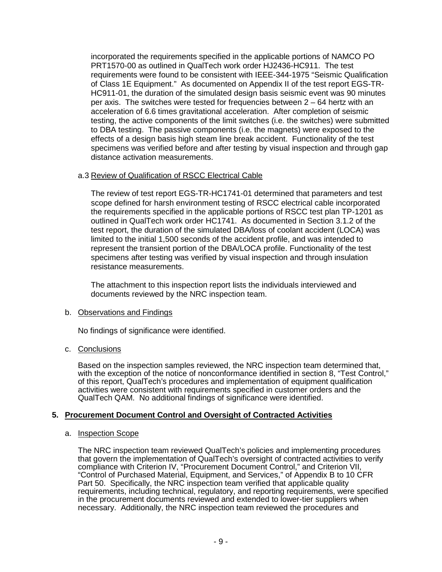incorporated the requirements specified in the applicable portions of NAMCO PO PRT1570-00 as outlined in QualTech work order HJ2436-HC911. The test requirements were found to be consistent with IEEE-344-1975 "Seismic Qualification of Class 1E Equipment." As documented on Appendix II of the test report EGS-TR-HC911-01, the duration of the simulated design basis seismic event was 90 minutes per axis. The switches were tested for frequencies between 2 – 64 hertz with an acceleration of 6.6 times gravitational acceleration. After completion of seismic testing, the active components of the limit switches (i.e. the switches) were submitted to DBA testing. The passive components (i.e. the magnets) were exposed to the effects of a design basis high steam line break accident. Functionality of the test specimens was verified before and after testing by visual inspection and through gap distance activation measurements.

### a.3 Review of Qualification of RSCC Electrical Cable

The review of test report EGS-TR-HC1741-01 determined that parameters and test scope defined for harsh environment testing of RSCC electrical cable incorporated the requirements specified in the applicable portions of RSCC test plan TP-1201 as outlined in QualTech work order HC1741. As documented in Section 3.1.2 of the test report, the duration of the simulated DBA/loss of coolant accident (LOCA) was limited to the initial 1,500 seconds of the accident profile, and was intended to represent the transient portion of the DBA/LOCA profile. Functionality of the test specimens after testing was verified by visual inspection and through insulation resistance measurements.

The attachment to this inspection report lists the individuals interviewed and documents reviewed by the NRC inspection team.

### b. Observations and Findings

No findings of significance were identified.

# c. Conclusions

Based on the inspection samples reviewed, the NRC inspection team determined that, with the exception of the notice of nonconformance identified in section 8, "Test Control," of this report, QualTech's procedures and implementation of equipment qualification activities were consistent with requirements specified in customer orders and the QualTech QAM. No additional findings of significance were identified.

# **5. Procurement Document Control and Oversight of Contracted Activities**

### a. Inspection Scope

The NRC inspection team reviewed QualTech's policies and implementing procedures that govern the implementation of QualTech's oversight of contracted activities to verify compliance with Criterion IV, "Procurement Document Control," and Criterion VII, "Control of Purchased Material, Equipment, and Services," of Appendix B to 10 CFR Part 50. Specifically, the NRC inspection team verified that applicable quality requirements, including technical, regulatory, and reporting requirements, were specified in the procurement documents reviewed and extended to lower-tier suppliers when necessary. Additionally, the NRC inspection team reviewed the procedures and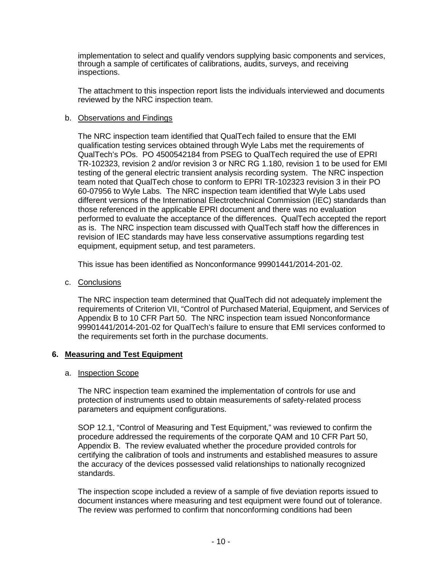implementation to select and qualify vendors supplying basic components and services, through a sample of certificates of calibrations, audits, surveys, and receiving inspections.

The attachment to this inspection report lists the individuals interviewed and documents reviewed by the NRC inspection team.

### b. Observations and Findings

The NRC inspection team identified that QualTech failed to ensure that the EMI qualification testing services obtained through Wyle Labs met the requirements of QualTech's POs. PO 4500542184 from PSEG to QualTech required the use of EPRI TR-102323, revision 2 and/or revision 3 or NRC RG 1.180, revision 1 to be used for EMI testing of the general electric transient analysis recording system. The NRC inspection team noted that QualTech chose to conform to EPRI TR-102323 revision 3 in their PO 60-07956 to Wyle Labs. The NRC inspection team identified that Wyle Labs used different versions of the International Electrotechnical Commission (IEC) standards than those referenced in the applicable EPRI document and there was no evaluation performed to evaluate the acceptance of the differences. QualTech accepted the report as is. The NRC inspection team discussed with QualTech staff how the differences in revision of IEC standards may have less conservative assumptions regarding test equipment, equipment setup, and test parameters.

This issue has been identified as Nonconformance 99901441/2014-201-02.

c. Conclusions

The NRC inspection team determined that QualTech did not adequately implement the requirements of Criterion VII, "Control of Purchased Material, Equipment, and Services of Appendix B to 10 CFR Part 50. The NRC inspection team issued Nonconformance 99901441/2014-201-02 for QualTech's failure to ensure that EMI services conformed to the requirements set forth in the purchase documents.

### **6. Measuring and Test Equipment**

#### a. Inspection Scope

The NRC inspection team examined the implementation of controls for use and protection of instruments used to obtain measurements of safety-related process parameters and equipment configurations.

SOP 12.1, "Control of Measuring and Test Equipment," was reviewed to confirm the procedure addressed the requirements of the corporate QAM and 10 CFR Part 50, Appendix B. The review evaluated whether the procedure provided controls for certifying the calibration of tools and instruments and established measures to assure the accuracy of the devices possessed valid relationships to nationally recognized standards.

The inspection scope included a review of a sample of five deviation reports issued to document instances where measuring and test equipment were found out of tolerance. The review was performed to confirm that nonconforming conditions had been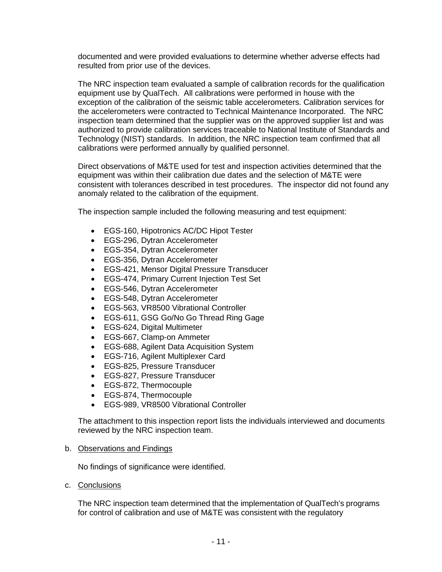documented and were provided evaluations to determine whether adverse effects had resulted from prior use of the devices.

The NRC inspection team evaluated a sample of calibration records for the qualification equipment use by QualTech. All calibrations were performed in house with the exception of the calibration of the seismic table accelerometers. Calibration services for the accelerometers were contracted to Technical Maintenance Incorporated. The NRC inspection team determined that the supplier was on the approved supplier list and was authorized to provide calibration services traceable to National Institute of Standards and Technology (NIST) standards. In addition, the NRC inspection team confirmed that all calibrations were performed annually by qualified personnel.

Direct observations of M&TE used for test and inspection activities determined that the equipment was within their calibration due dates and the selection of M&TE were consistent with tolerances described in test procedures. The inspector did not found any anomaly related to the calibration of the equipment.

The inspection sample included the following measuring and test equipment:

- EGS-160, Hipotronics AC/DC Hipot Tester
- EGS-296, Dytran Accelerometer
- EGS-354, Dytran Accelerometer
- EGS-356, Dytran Accelerometer
- EGS-421, Mensor Digital Pressure Transducer
- EGS-474, Primary Current Injection Test Set
- EGS-546, Dytran Accelerometer
- EGS-548, Dytran Accelerometer
- EGS-563, VR8500 Vibrational Controller
- EGS-611, GSG Go/No Go Thread Ring Gage
- EGS-624, Digital Multimeter
- EGS-667, Clamp-on Ammeter
- EGS-688, Agilent Data Acquisition System
- EGS-716, Agilent Multiplexer Card
- EGS-825, Pressure Transducer
- EGS-827, Pressure Transducer
- EGS-872, Thermocouple
- EGS-874, Thermocouple
- EGS-989, VR8500 Vibrational Controller

The attachment to this inspection report lists the individuals interviewed and documents reviewed by the NRC inspection team.

#### b. Observations and Findings

No findings of significance were identified.

c. Conclusions

The NRC inspection team determined that the implementation of QualTech's programs for control of calibration and use of M&TE was consistent with the regulatory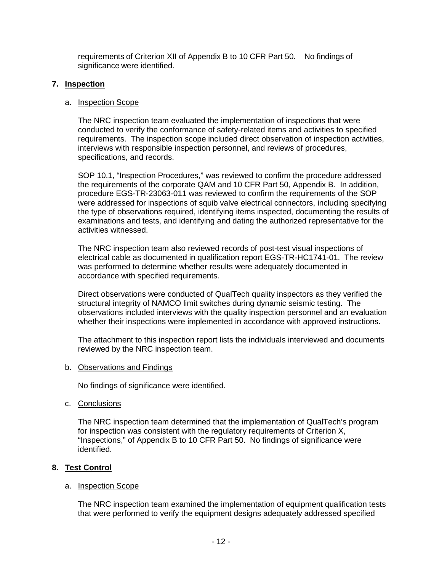requirements of Criterion XII of Appendix B to 10 CFR Part 50. No findings of significance were identified.

### **7. Inspection**

### a. Inspection Scope

The NRC inspection team evaluated the implementation of inspections that were conducted to verify the conformance of safety-related items and activities to specified requirements. The inspection scope included direct observation of inspection activities, interviews with responsible inspection personnel, and reviews of procedures, specifications, and records.

SOP 10.1, "Inspection Procedures," was reviewed to confirm the procedure addressed the requirements of the corporate QAM and 10 CFR Part 50, Appendix B. In addition, procedure EGS-TR-23063-011 was reviewed to confirm the requirements of the SOP were addressed for inspections of squib valve electrical connectors, including specifying the type of observations required, identifying items inspected, documenting the results of examinations and tests, and identifying and dating the authorized representative for the activities witnessed.

The NRC inspection team also reviewed records of post-test visual inspections of electrical cable as documented in qualification report EGS-TR-HC1741-01. The review was performed to determine whether results were adequately documented in accordance with specified requirements.

Direct observations were conducted of QualTech quality inspectors as they verified the structural integrity of NAMCO limit switches during dynamic seismic testing. The observations included interviews with the quality inspection personnel and an evaluation whether their inspections were implemented in accordance with approved instructions.

The attachment to this inspection report lists the individuals interviewed and documents reviewed by the NRC inspection team.

### b. Observations and Findings

No findings of significance were identified.

c. Conclusions

The NRC inspection team determined that the implementation of QualTech's program for inspection was consistent with the regulatory requirements of Criterion X, "Inspections," of Appendix B to 10 CFR Part 50. No findings of significance were identified.

### **8. Test Control**

### a. Inspection Scope

The NRC inspection team examined the implementation of equipment qualification tests that were performed to verify the equipment designs adequately addressed specified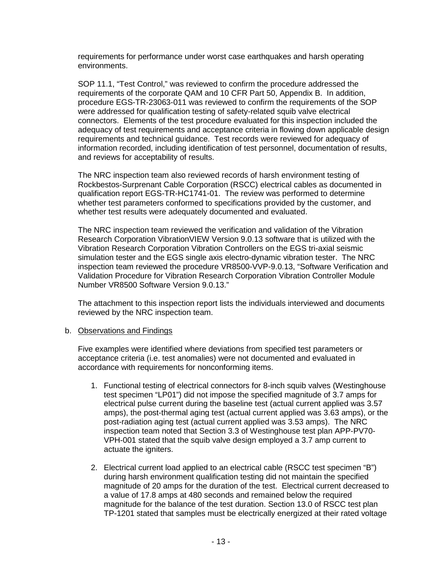requirements for performance under worst case earthquakes and harsh operating environments.

SOP 11.1, "Test Control," was reviewed to confirm the procedure addressed the requirements of the corporate QAM and 10 CFR Part 50, Appendix B. In addition, procedure EGS-TR-23063-011 was reviewed to confirm the requirements of the SOP were addressed for qualification testing of safety-related squib valve electrical connectors. Elements of the test procedure evaluated for this inspection included the adequacy of test requirements and acceptance criteria in flowing down applicable design requirements and technical guidance. Test records were reviewed for adequacy of information recorded, including identification of test personnel, documentation of results, and reviews for acceptability of results.

The NRC inspection team also reviewed records of harsh environment testing of Rockbestos-Surprenant Cable Corporation (RSCC) electrical cables as documented in qualification report EGS-TR-HC1741-01. The review was performed to determine whether test parameters conformed to specifications provided by the customer, and whether test results were adequately documented and evaluated.

The NRC inspection team reviewed the verification and validation of the Vibration Research Corporation VibrationVIEW Version 9.0.13 software that is utilized with the Vibration Research Corporation Vibration Controllers on the EGS tri-axial seismic simulation tester and the EGS single axis electro-dynamic vibration tester. The NRC inspection team reviewed the procedure VR8500-VVP-9.0.13, "Software Verification and Validation Procedure for Vibration Research Corporation Vibration Controller Module Number VR8500 Software Version 9.0.13."

The attachment to this inspection report lists the individuals interviewed and documents reviewed by the NRC inspection team.

#### b. Observations and Findings

Five examples were identified where deviations from specified test parameters or acceptance criteria (i.e. test anomalies) were not documented and evaluated in accordance with requirements for nonconforming items.

- 1. Functional testing of electrical connectors for 8-inch squib valves (Westinghouse test specimen "LP01") did not impose the specified magnitude of 3.7 amps for electrical pulse current during the baseline test (actual current applied was 3.57 amps), the post-thermal aging test (actual current applied was 3.63 amps), or the post-radiation aging test (actual current applied was 3.53 amps). The NRC inspection team noted that Section 3.3 of Westinghouse test plan APP-PV70- VPH-001 stated that the squib valve design employed a 3.7 amp current to actuate the igniters.
- 2. Electrical current load applied to an electrical cable (RSCC test specimen "B") during harsh environment qualification testing did not maintain the specified magnitude of 20 amps for the duration of the test. Electrical current decreased to a value of 17.8 amps at 480 seconds and remained below the required magnitude for the balance of the test duration. Section 13.0 of RSCC test plan TP-1201 stated that samples must be electrically energized at their rated voltage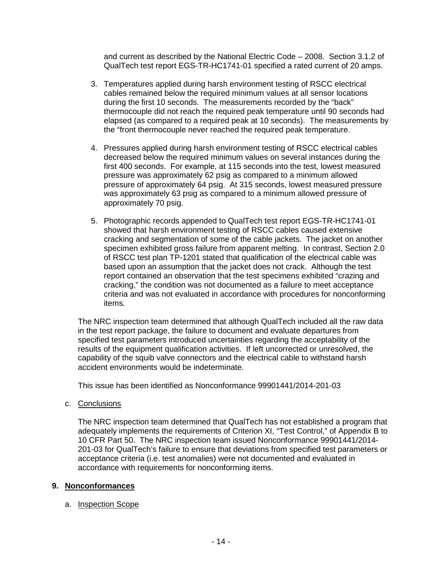and current as described by the National Electric Code – 2008. Section 3.1.2 of QualTech test report EGS-TR-HC1741-01 specified a rated current of 20 amps.

- 3. Temperatures applied during harsh environment testing of RSCC electrical cables remained below the required minimum values at all sensor locations during the first 10 seconds. The measurements recorded by the "back" thermocouple did not reach the required peak temperature until 90 seconds had elapsed (as compared to a required peak at 10 seconds). The measurements by the "front thermocouple never reached the required peak temperature.
- 4. Pressures applied during harsh environment testing of RSCC electrical cables decreased below the required minimum values on several instances during the first 400 seconds. For example, at 115 seconds into the test, lowest measured pressure was approximately 62 psig as compared to a minimum allowed pressure of approximately 64 psig. At 315 seconds, lowest measured pressure was approximately 63 psig as compared to a minimum allowed pressure of approximately 70 psig.
- 5. Photographic records appended to QualTech test report EGS-TR-HC1741-01 showed that harsh environment testing of RSCC cables caused extensive cracking and segmentation of some of the cable jackets. The jacket on another specimen exhibited gross failure from apparent melting. In contrast, Section 2.0 of RSCC test plan TP-1201 stated that qualification of the electrical cable was based upon an assumption that the jacket does not crack. Although the test report contained an observation that the test specimens exhibited "crazing and cracking," the condition was not documented as a failure to meet acceptance criteria and was not evaluated in accordance with procedures for nonconforming items.

The NRC inspection team determined that although QualTech included all the raw data in the test report package, the failure to document and evaluate departures from specified test parameters introduced uncertainties regarding the acceptability of the results of the equipment qualification activities. If left uncorrected or unresolved, the capability of the squib valve connectors and the electrical cable to withstand harsh accident environments would be indeterminate.

This issue has been identified as Nonconformance 99901441/2014-201-03

c. Conclusions

The NRC inspection team determined that QualTech has not established a program that adequately implements the requirements of Criterion XI, "Test Control," of Appendix B to 10 CFR Part 50. The NRC inspection team issued Nonconformance 99901441/2014- 201-03 for QualTech's failure to ensure that deviations from specified test parameters or acceptance criteria (i.e. test anomalies) were not documented and evaluated in accordance with requirements for nonconforming items.

### **9. Nonconformances**

#### a. Inspection Scope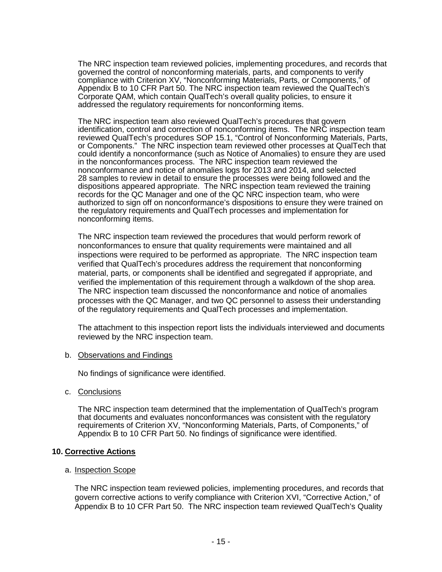The NRC inspection team reviewed policies, implementing procedures, and records that governed the control of nonconforming materials, parts, and components to verify compliance with Criterion XV, "Nonconforming Materials, Parts, or Components," of Appendix B to 10 CFR Part 50. The NRC inspection team reviewed the QualTech's Corporate QAM, which contain QualTech's overall quality policies, to ensure it addressed the regulatory requirements for nonconforming items.

The NRC inspection team also reviewed QualTech's procedures that govern identification, control and correction of nonconforming items. The NRC inspection team reviewed QualTech's procedures SOP 15.1, "Control of Nonconforming Materials, Parts, or Components." The NRC inspection team reviewed other processes at QualTech that could identify a nonconformance (such as Notice of Anomalies) to ensure they are used in the nonconformances process. The NRC inspection team reviewed the nonconformance and notice of anomalies logs for 2013 and 2014, and selected 28 samples to review in detail to ensure the processes were being followed and the dispositions appeared appropriate. The NRC inspection team reviewed the training records for the QC Manager and one of the QC NRC inspection team, who were authorized to sign off on nonconformance's dispositions to ensure they were trained on the regulatory requirements and QualTech processes and implementation for nonconforming items.

The NRC inspection team reviewed the procedures that would perform rework of nonconformances to ensure that quality requirements were maintained and all inspections were required to be performed as appropriate. The NRC inspection team verified that QualTech's procedures address the requirement that nonconforming material, parts, or components shall be identified and segregated if appropriate, and verified the implementation of this requirement through a walkdown of the shop area. The NRC inspection team discussed the nonconformance and notice of anomalies processes with the QC Manager, and two QC personnel to assess their understanding of the regulatory requirements and QualTech processes and implementation.

The attachment to this inspection report lists the individuals interviewed and documents reviewed by the NRC inspection team.

#### b. Observations and Findings

No findings of significance were identified.

c. Conclusions

The NRC inspection team determined that the implementation of QualTech's program that documents and evaluates nonconformances was consistent with the regulatory requirements of Criterion XV, "Nonconforming Materials, Parts, of Components," of Appendix B to 10 CFR Part 50. No findings of significance were identified.

#### **10. Corrective Actions**

#### a. Inspection Scope

The NRC inspection team reviewed policies, implementing procedures, and records that govern corrective actions to verify compliance with Criterion XVI, "Corrective Action," of Appendix B to 10 CFR Part 50. The NRC inspection team reviewed QualTech's Quality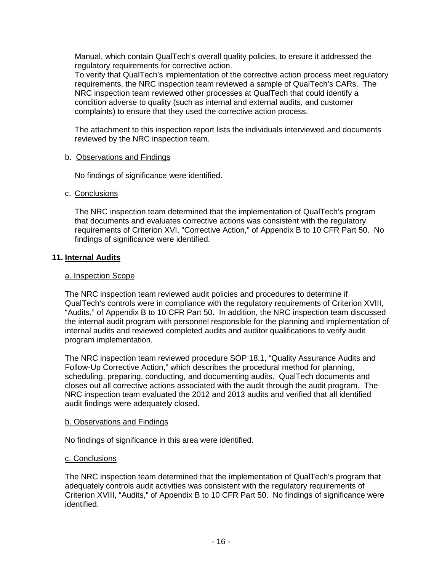Manual, which contain QualTech's overall quality policies, to ensure it addressed the regulatory requirements for corrective action.

To verify that QualTech's implementation of the corrective action process meet regulatory requirements, the NRC inspection team reviewed a sample of QualTech's CARs. The NRC inspection team reviewed other processes at QualTech that could identify a condition adverse to quality (such as internal and external audits, and customer complaints) to ensure that they used the corrective action process.

The attachment to this inspection report lists the individuals interviewed and documents reviewed by the NRC inspection team.

### b. Observations and Findings

No findings of significance were identified.

### c. Conclusions

The NRC inspection team determined that the implementation of QualTech's program that documents and evaluates corrective actions was consistent with the regulatory requirements of Criterion XVI, "Corrective Action," of Appendix B to 10 CFR Part 50. No findings of significance were identified.

### **11. Internal Audits**

### a. Inspection Scope

The NRC inspection team reviewed audit policies and procedures to determine if QualTech's controls were in compliance with the regulatory requirements of Criterion XVIII, "Audits," of Appendix B to 10 CFR Part 50. In addition, the NRC inspection team discussed the internal audit program with personnel responsible for the planning and implementation of internal audits and reviewed completed audits and auditor qualifications to verify audit program implementation.

The NRC inspection team reviewed procedure SOP 18.1, "Quality Assurance Audits and Follow-Up Corrective Action," which describes the procedural method for planning, scheduling, preparing, conducting, and documenting audits. QualTech documents and closes out all corrective actions associated with the audit through the audit program. The NRC inspection team evaluated the 2012 and 2013 audits and verified that all identified audit findings were adequately closed.

#### b. Observations and Findings

No findings of significance in this area were identified.

### c. Conclusions

The NRC inspection team determined that the implementation of QualTech's program that adequately controls audit activities was consistent with the regulatory requirements of Criterion XVIII, "Audits," of Appendix B to 10 CFR Part 50. No findings of significance were identified.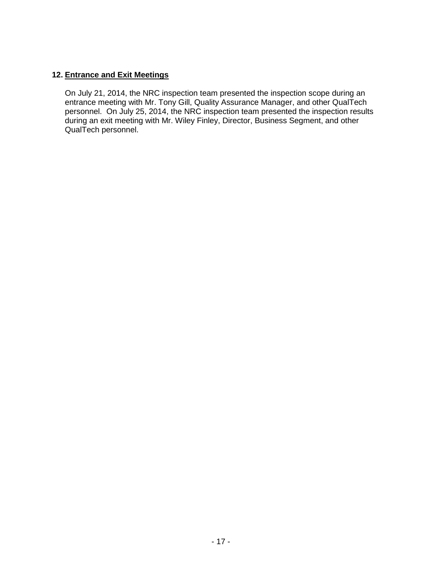# **12. Entrance and Exit Meetings**

On July 21, 2014, the NRC inspection team presented the inspection scope during an entrance meeting with Mr. Tony Gill, Quality Assurance Manager, and other QualTech personnel. On July 25, 2014, the NRC inspection team presented the inspection results during an exit meeting with Mr. Wiley Finley, Director, Business Segment, and other QualTech personnel.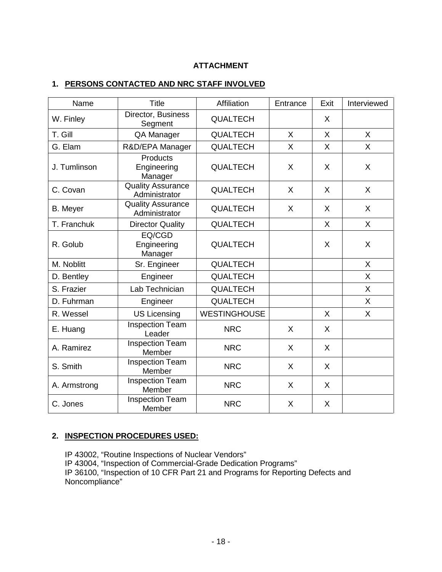# **ATTACHMENT**

## **1. PERSONS CONTACTED AND NRC STAFF INVOLVED**

| Name         | <b>Title</b>                              | Affiliation         | Entrance     | Exit | Interviewed  |
|--------------|-------------------------------------------|---------------------|--------------|------|--------------|
| W. Finley    | Director, Business<br>Segment             | <b>QUALTECH</b>     |              | X    |              |
| T. Gill      | QA Manager                                | <b>QUALTECH</b>     | $\mathsf{X}$ | X    | $\mathsf{X}$ |
| G. Elam      | R&D/EPA Manager                           | <b>QUALTECH</b>     | X            | X    | $\mathsf{X}$ |
| J. Tumlinson | Products<br>Engineering<br>Manager        | <b>QUALTECH</b>     | X            | X    | X            |
| C. Covan     | <b>Quality Assurance</b><br>Administrator | <b>QUALTECH</b>     | X            | X    | X            |
| B. Meyer     | <b>Quality Assurance</b><br>Administrator | <b>QUALTECH</b>     | X            | X    | X            |
| T. Franchuk  | <b>Director Quality</b>                   | <b>QUALTECH</b>     |              | X    | X            |
| R. Golub     | EQ/CGD<br>Engineering<br>Manager          | <b>QUALTECH</b>     |              | X    | X            |
| M. Noblitt   | Sr. Engineer                              | <b>QUALTECH</b>     |              |      | $\sf X$      |
| D. Bentley   | Engineer                                  | <b>QUALTECH</b>     |              |      | $\times$     |
| S. Frazier   | Lab Technician                            | <b>QUALTECH</b>     |              |      | X            |
| D. Fuhrman   | Engineer                                  | <b>QUALTECH</b>     |              |      | X            |
| R. Wessel    | <b>US Licensing</b>                       | <b>WESTINGHOUSE</b> |              | X    | X            |
| E. Huang     | <b>Inspection Team</b><br>Leader          | <b>NRC</b>          | X            | X    |              |
| A. Ramirez   | <b>Inspection Team</b><br>Member          | <b>NRC</b>          | X            | X    |              |
| S. Smith     | <b>Inspection Team</b><br>Member          | <b>NRC</b>          | X            | X    |              |
| A. Armstrong | <b>Inspection Team</b><br>Member          | <b>NRC</b>          | X            | X    |              |
| C. Jones     | <b>Inspection Team</b><br>Member          | <b>NRC</b>          | X            | X    |              |

# **2. INSPECTION PROCEDURES USED:**

IP 43002, "Routine Inspections of Nuclear Vendors" IP 43004, "Inspection of Commercial-Grade Dedication Programs" IP 36100, "Inspection of 10 CFR Part 21 and Programs for Reporting Defects and Noncompliance"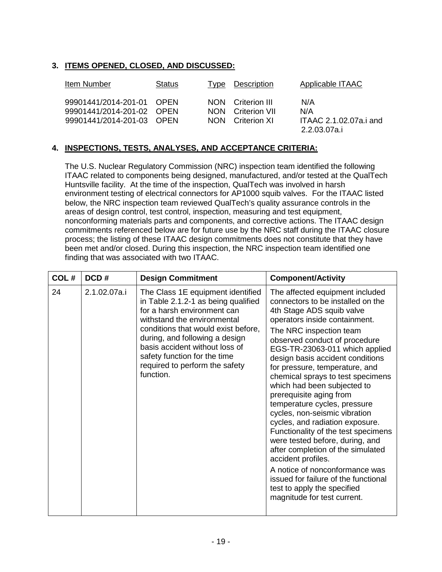# **3. ITEMS OPENED, CLOSED, AND DISCUSSED:**

| Item Number                                                                         | <b>Status</b> | Type                     | Description                                        | Applicable ITAAC                                     |
|-------------------------------------------------------------------------------------|---------------|--------------------------|----------------------------------------------------|------------------------------------------------------|
| 99901441/2014-201-01 OPEN<br>99901441/2014-201-02 OPEN<br>99901441/2014-201-03 OPEN |               | <b>NON</b><br><b>NON</b> | NON Criterion III<br>Criterion VII<br>Criterion XI | N/A<br>N/A<br>ITAAC 2.1.02.07a.i and<br>2.2.03.07a.i |

## **4. INSPECTIONS, TESTS, ANALYSES, AND ACCEPTANCE CRITERIA:**

The U.S. Nuclear Regulatory Commission (NRC) inspection team identified the following ITAAC related to components being designed, manufactured, and/or tested at the QualTech Huntsville facility. At the time of the inspection, QualTech was involved in harsh environment testing of electrical connectors for AP1000 squib valves. For the ITAAC listed below, the NRC inspection team reviewed QualTech's quality assurance controls in the areas of design control, test control, inspection, measuring and test equipment, nonconforming materials parts and components, and corrective actions. The ITAAC design commitments referenced below are for future use by the NRC staff during the ITAAC closure process; the listing of these ITAAC design commitments does not constitute that they have been met and/or closed. During this inspection, the NRC inspection team identified one finding that was associated with two ITAAC.

| COL# | DCD#         | <b>Design Commitment</b>                                                                                                                                                                                                                                                                                                         | <b>Component/Activity</b>                                                                                                                                                                                                                                                                                                                                                                                                                                                                                                                                                                                                                                                                                                                                                              |
|------|--------------|----------------------------------------------------------------------------------------------------------------------------------------------------------------------------------------------------------------------------------------------------------------------------------------------------------------------------------|----------------------------------------------------------------------------------------------------------------------------------------------------------------------------------------------------------------------------------------------------------------------------------------------------------------------------------------------------------------------------------------------------------------------------------------------------------------------------------------------------------------------------------------------------------------------------------------------------------------------------------------------------------------------------------------------------------------------------------------------------------------------------------------|
| 24   | 2.1.02.07a.i | The Class 1E equipment identified<br>in Table 2.1.2-1 as being qualified<br>for a harsh environment can<br>withstand the environmental<br>conditions that would exist before,<br>during, and following a design<br>basis accident without loss of<br>safety function for the time<br>required to perform the safety<br>function. | The affected equipment included<br>connectors to be installed on the<br>4th Stage ADS squib valve<br>operators inside containment.<br>The NRC inspection team<br>observed conduct of procedure<br>EGS-TR-23063-011 which applied<br>design basis accident conditions<br>for pressure, temperature, and<br>chemical sprays to test specimens<br>which had been subjected to<br>prerequisite aging from<br>temperature cycles, pressure<br>cycles, non-seismic vibration<br>cycles, and radiation exposure.<br>Functionality of the test specimens<br>were tested before, during, and<br>after completion of the simulated<br>accident profiles.<br>A notice of nonconformance was<br>issued for failure of the functional<br>test to apply the specified<br>magnitude for test current. |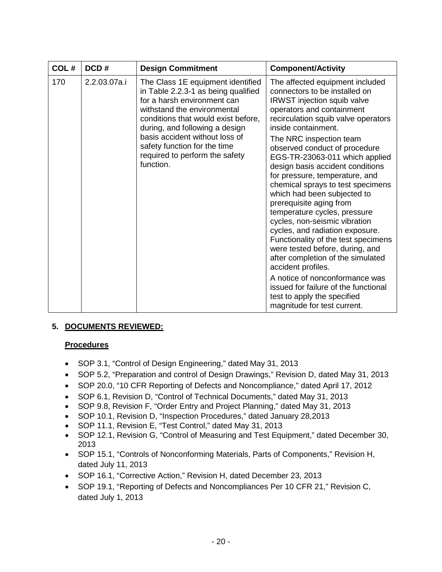| COL# | DCD#         | <b>Design Commitment</b>                                                                                                                                                                                                                                                                                                         | <b>Component/Activity</b>                                                                                                                                                                                                                                                                                                                                                                                                                                                                                                                                                                                                                                                                                                                                                                                                                             |
|------|--------------|----------------------------------------------------------------------------------------------------------------------------------------------------------------------------------------------------------------------------------------------------------------------------------------------------------------------------------|-------------------------------------------------------------------------------------------------------------------------------------------------------------------------------------------------------------------------------------------------------------------------------------------------------------------------------------------------------------------------------------------------------------------------------------------------------------------------------------------------------------------------------------------------------------------------------------------------------------------------------------------------------------------------------------------------------------------------------------------------------------------------------------------------------------------------------------------------------|
| 170  | 2.2.03.07a.i | The Class 1E equipment identified<br>in Table 2.2.3-1 as being qualified<br>for a harsh environment can<br>withstand the environmental<br>conditions that would exist before,<br>during, and following a design<br>basis accident without loss of<br>safety function for the time<br>required to perform the safety<br>function. | The affected equipment included<br>connectors to be installed on<br><b>IRWST</b> injection squib valve<br>operators and containment<br>recirculation squib valve operators<br>inside containment.<br>The NRC inspection team<br>observed conduct of procedure<br>EGS-TR-23063-011 which applied<br>design basis accident conditions<br>for pressure, temperature, and<br>chemical sprays to test specimens<br>which had been subjected to<br>prerequisite aging from<br>temperature cycles, pressure<br>cycles, non-seismic vibration<br>cycles, and radiation exposure.<br>Functionality of the test specimens<br>were tested before, during, and<br>after completion of the simulated<br>accident profiles.<br>A notice of nonconformance was<br>issued for failure of the functional<br>test to apply the specified<br>magnitude for test current. |

# **5. DOCUMENTS REVIEWED:**

# **Procedures**

- SOP 3.1, "Control of Design Engineering," dated May 31, 2013
- SOP 5.2, "Preparation and control of Design Drawings," Revision D, dated May 31, 2013
- SOP 20.0, "10 CFR Reporting of Defects and Noncompliance," dated April 17, 2012
- SOP 6.1, Revision D, "Control of Technical Documents," dated May 31, 2013
- SOP 9.8, Revision F, "Order Entry and Project Planning," dated May 31, 2013
- SOP 10.1, Revision D, "Inspection Procedures," dated January 28,2013
- SOP 11.1, Revision E, "Test Control," dated May 31, 2013
- SOP 12.1, Revision G, "Control of Measuring and Test Equipment," dated December 30, 2013
- SOP 15.1, "Controls of Nonconforming Materials, Parts of Components," Revision H, dated July 11, 2013
- SOP 16.1, "Corrective Action," Revision H, dated December 23, 2013
- SOP 19.1, "Reporting of Defects and Noncompliances Per 10 CFR 21," Revision C, dated July 1, 2013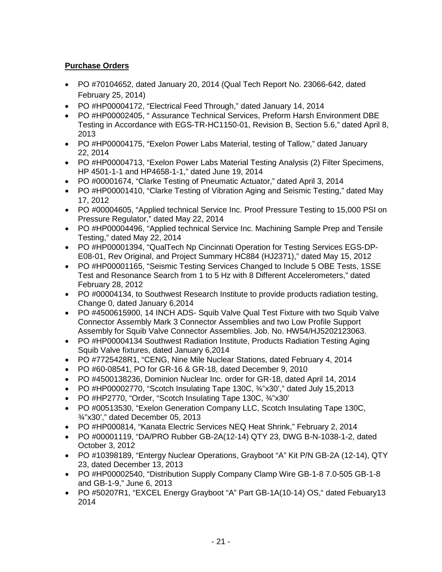# **Purchase Orders**

- PO #70104652, dated January 20, 2014 (Qual Tech Report No. 23066-642, dated February 25, 2014)
- PO #HP00004172, "Electrical Feed Through," dated January 14, 2014
- PO #HP00002405, " Assurance Technical Services, Preform Harsh Environment DBE Testing in Accordance with EGS-TR-HC1150-01, Revision B, Section 5.6," dated April 8, 2013
- PO #HP00004175, "Exelon Power Labs Material, testing of Tallow," dated January 22, 2014
- PO #HP00004713, "Exelon Power Labs Material Testing Analysis (2) Filter Specimens, HP 4501-1-1 and HP4658-1-1," dated June 19, 2014
- PO #00001674, "Clarke Testing of Pneumatic Actuator," dated April 3, 2014
- PO #HP00001410, "Clarke Testing of Vibration Aging and Seismic Testing," dated May 17, 2012
- PO #00004605, "Applied technical Service Inc. Proof Pressure Testing to 15,000 PSI on Pressure Regulator," dated May 22, 2014
- PO #HP00004496, "Applied technical Service Inc. Machining Sample Prep and Tensile Testing," dated May 22, 2014
- PO #HP00001394, "QualTech Np Cincinnati Operation for Testing Services EGS-DP-E08-01, Rev Original, and Project Summary HC884 (HJ2371)," dated May 15, 2012
- PO #HP00001165, "Seismic Testing Services Changed to Include 5 OBE Tests, 1SSE Test and Resonance Search from 1 to 5 Hz with 8 Different Accelerometers," dated February 28, 2012
- PO #00004134, to Southwest Research Institute to provide products radiation testing, Change 0, dated January 6,2014
- PO #4500615900, 14 INCH ADS- Squib Valve Qual Test Fixture with two Squib Valve Connector Assembly Mark 3 Connector Assemblies and two Low Profile Support Assembly for Squib Valve Connector Assemblies. Job. No. HW54/HJ5202123063.
- PO #HP00004134 Southwest Radiation Institute, Products Radiation Testing Aging Squib Valve fixtures, dated January 6,2014
- PO #7725428R1, "CENG, Nine Mile Nuclear Stations, dated February 4, 2014
- PO #60-08541, PO for GR-16 & GR-18, dated December 9, 2010
- PO #4500138236, Dominion Nuclear Inc. order for GR-18, dated April 14, 2014
- PO #HP00002770, "Scotch Insulating Tape 130C,  $\frac{3}{4}$ "x30'," dated July 15,2013
- PO #HP2770, "Order, "Scotch Insulating Tape 130C, ¾"x30'
- PO #00513530, "Exelon Generation Company LLC, Scotch Insulating Tape 130C, ¾"x30'," dated December 05, 2013
- PO #HP000814, "Kanata Electric Services NEQ Heat Shrink," February 2, 2014
- PO #00001119, "DA/PRO Rubber GB-2A(12-14) QTY 23, DWG B-N-1038-1-2, dated October 3, 2012
- PO #10398189, "Entergy Nuclear Operations, Grayboot "A" Kit P/N GB-2A (12-14), QTY 23, dated December 13, 2013
- PO #HP00002540, "Distribution Supply Company Clamp Wire GB-1-8 7.0-505 GB-1-8 and GB-1-9," June 6, 2013
- PO #50207R1, "EXCEL Energy Grayboot "A" Part GB-1A(10-14) OS, " dated Febuary 13 2014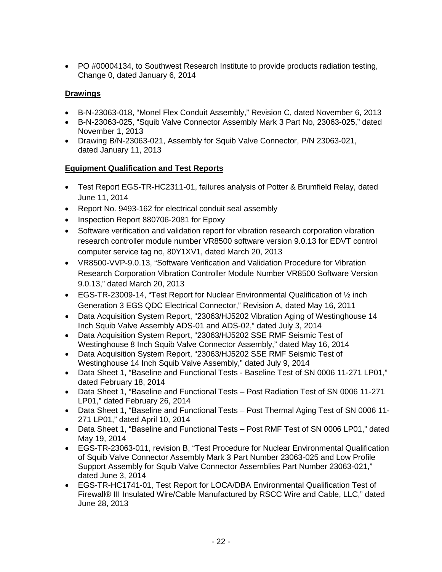• PO #00004134, to Southwest Research Institute to provide products radiation testing, Change 0, dated January 6, 2014

# **Drawings**

- B-N-23063-018, "Monel Flex Conduit Assembly," Revision C, dated November 6, 2013
- B-N-23063-025, "Squib Valve Connector Assembly Mark 3 Part No, 23063-025," dated November 1, 2013
- Drawing B/N-23063-021, Assembly for Squib Valve Connector, P/N 23063-021, dated January 11, 2013

# **Equipment Qualification and Test Reports**

- Test Report EGS-TR-HC2311-01, failures analysis of Potter & Brumfield Relay, dated June 11, 2014
- Report No. 9493-162 for electrical conduit seal assembly
- Inspection Report 880706-2081 for Epoxy
- Software verification and validation report for vibration research corporation vibration research controller module number VR8500 software version 9.0.13 for EDVT control computer service tag no, 80Y1XV1, dated March 20, 2013
- VR8500-VVP-9.0.13, "Software Verification and Validation Procedure for Vibration Research Corporation Vibration Controller Module Number VR8500 Software Version 9.0.13," dated March 20, 2013
- EGS-TR-23009-14, "Test Report for Nuclear Environmental Qualification of ½ inch Generation 3 EGS QDC Electrical Connector," Revision A, dated May 16, 2011
- Data Acquisition System Report, "23063/HJ5202 Vibration Aging of Westinghouse 14 Inch Squib Valve Assembly ADS-01 and ADS-02," dated July 3, 2014
- Data Acquisition System Report, "23063/HJ5202 SSE RMF Seismic Test of Westinghouse 8 Inch Squib Valve Connector Assembly," dated May 16, 2014
- Data Acquisition System Report, "23063/HJ5202 SSE RMF Seismic Test of Westinghouse 14 Inch Squib Valve Assembly," dated July 9, 2014
- Data Sheet 1, "Baseline and Functional Tests Baseline Test of SN 0006 11-271 LP01," dated February 18, 2014
- Data Sheet 1, "Baseline and Functional Tests Post Radiation Test of SN 0006 11-271 LP01," dated February 26, 2014
- Data Sheet 1, "Baseline and Functional Tests Post Thermal Aging Test of SN 0006 11- 271 LP01," dated April 10, 2014
- Data Sheet 1, "Baseline and Functional Tests Post RMF Test of SN 0006 LP01," dated May 19, 2014
- EGS-TR-23063-011, revision B, "Test Procedure for Nuclear Environmental Qualification of Squib Valve Connector Assembly Mark 3 Part Number 23063-025 and Low Profile Support Assembly for Squib Valve Connector Assemblies Part Number 23063-021," dated June 3, 2014
- EGS-TR-HC1741-01, Test Report for LOCA/DBA Environmental Qualification Test of Firewall® III Insulated Wire/Cable Manufactured by RSCC Wire and Cable, LLC," dated June 28, 2013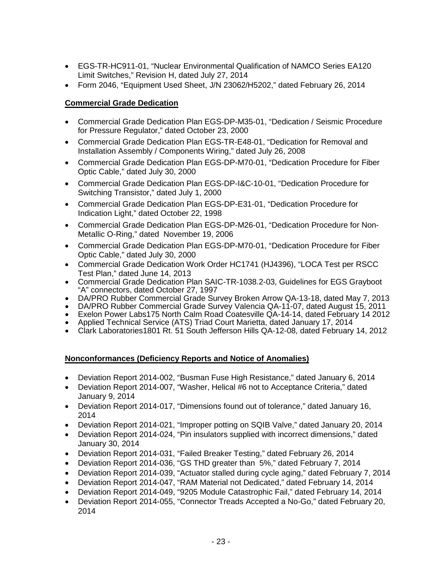- EGS-TR-HC911-01, "Nuclear Environmental Qualification of NAMCO Series EA120 Limit Switches," Revision H, dated July 27, 2014
- Form 2046, "Equipment Used Sheet, J/N 23062/H5202," dated February 26, 2014

# **Commercial Grade Dedication**

- Commercial Grade Dedication Plan EGS-DP-M35-01, "Dedication / Seismic Procedure for Pressure Regulator," dated October 23, 2000
- Commercial Grade Dedication Plan EGS-TR-E48-01, "Dedication for Removal and Installation Assembly / Components Wiring," dated July 26, 2008
- Commercial Grade Dedication Plan EGS-DP-M70-01, "Dedication Procedure for Fiber Optic Cable," dated July 30, 2000
- Commercial Grade Dedication Plan EGS-DP-I&C-10-01, "Dedication Procedure for Switching Transistor," dated July 1, 2000
- Commercial Grade Dedication Plan EGS-DP-E31-01, "Dedication Procedure for Indication Light," dated October 22, 1998
- Commercial Grade Dedication Plan EGS-DP-M26-01, "Dedication Procedure for Non-Metallic O-Ring," dated November 19, 2006
- Commercial Grade Dedication Plan EGS-DP-M70-01, "Dedication Procedure for Fiber Optic Cable," dated July 30, 2000
- Commercial Grade Dedication Work Order HC1741 (HJ4396), "LOCA Test per RSCC Test Plan," dated June 14, 2013
- Commercial Grade Dedication Plan SAIC-TR-1038.2-03, Guidelines for EGS Grayboot "A" connectors, dated October 27, 1997
- DA/PRO Rubber Commercial Grade Survey Broken Arrow QA-13-18, dated May 7, 2013
- DA/PRO Rubber Commercial Grade Survey Valencia QA-11-07, dated August 15, 2011
- Exelon Power Labs175 North Calm Road Coatesville QA-14-14, dated February 14 2012
- Applied Technical Service (ATS) Triad Court Marietta, dated January 17, 2014
- Clark Laboratories1801 Rt. 51 South Jefferson Hills QA-12-08, dated February 14, 2012

# **Nonconformances (Deficiency Reports and Notice of Anomalies)**

- Deviation Report 2014-002, "Busman Fuse High Resistance," dated January 6, 2014
- Deviation Report 2014-007, "Washer, Helical #6 not to Acceptance Criteria," dated January 9, 2014
- Deviation Report 2014-017, "Dimensions found out of tolerance," dated January 16, 2014
- Deviation Report 2014-021, "Improper potting on SQIB Valve," dated January 20, 2014
- Deviation Report 2014-024, "Pin insulators supplied with incorrect dimensions," dated January 30, 2014
- Deviation Report 2014-031, "Failed Breaker Testing," dated February 26, 2014
- Deviation Report 2014-036, "GS THD greater than 5%," dated February 7, 2014
- Deviation Report 2014-039, "Actuator stalled during cycle aging," dated February 7, 2014
- Deviation Report 2014-047, "RAM Material not Dedicated," dated February 14, 2014
- Deviation Report 2014-049, "9205 Module Catastrophic Fail," dated February 14, 2014
- Deviation Report 2014-055, "Connector Treads Accepted a No-Go," dated February 20, 2014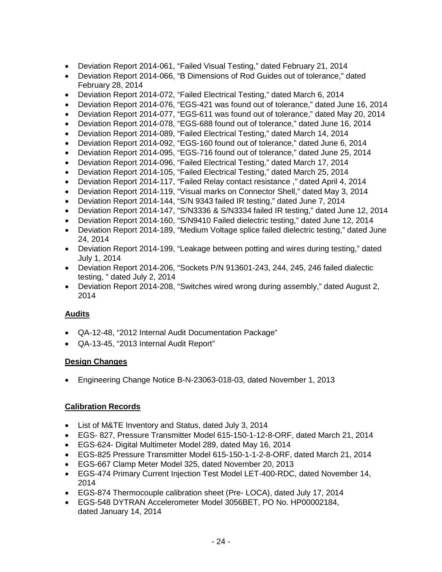- Deviation Report 2014-061, "Failed Visual Testing," dated February 21, 2014
- Deviation Report 2014-066, "B Dimensions of Rod Guides out of tolerance," dated February 28, 2014
- Deviation Report 2014-072, "Failed Electrical Testing," dated March 6, 2014
- Deviation Report 2014-076, "EGS-421 was found out of tolerance," dated June 16, 2014
- Deviation Report 2014-077, "EGS-611 was found out of tolerance," dated May 20, 2014
- Deviation Report 2014-078, "EGS-688 found out of tolerance," dated June 16, 2014
- Deviation Report 2014-089, "Failed Electrical Testing," dated March 14, 2014
- Deviation Report 2014-092, "EGS-160 found out of tolerance," dated June 6, 2014
- Deviation Report 2014-095, "EGS-716 found out of tolerance," dated June 25, 2014
- Deviation Report 2014-096, "Failed Electrical Testing," dated March 17, 2014
- Deviation Report 2014-105, "Failed Electrical Testing," dated March 25, 2014
- Deviation Report 2014-117, "Failed Relay contact resistance ," dated April 4, 2014
- Deviation Report 2014-119, "Visual marks on Connector Shell," dated May 3, 2014
- Deviation Report 2014-144, "S/N 9343 failed IR testing," dated June 7, 2014
- Deviation Report 2014-147, "S/N3336 & S/N3334 failed IR testing," dated June 12, 2014
- Deviation Report 2014-160, "S/N9410 Failed dielectric testing," dated June 12, 2014
- Deviation Report 2014-189, "Medium Voltage splice failed dielectric testing," dated June 24, 2014
- Deviation Report 2014-199, "Leakage between potting and wires during testing," dated July 1, 2014
- Deviation Report 2014-206, "Sockets P/N 913601-243, 244, 245, 246 failed dialectic testing, " dated July 2, 2014
- Deviation Report 2014-208, "Switches wired wrong during assembly," dated August 2, 2014

# **Audits**

- QA-12-48, "2012 Internal Audit Documentation Package"
- QA-13-45, "2013 Internal Audit Report"

### **Design Changes**

• Engineering Change Notice B-N-23063-018-03, dated November 1, 2013

# **Calibration Records**

- List of M&TE Inventory and Status, dated July 3, 2014
- EGS- 827, Pressure Transmitter Model 615-150-1-12-8-ORF, dated March 21, 2014
- EGS-624- Digital Multimeter Model 289, dated May 16, 2014
- EGS-825 Pressure Transmitter Model 615-150-1-1-2-8-ORF, dated March 21, 2014
- EGS-667 Clamp Meter Model 325, dated November 20, 2013
- EGS-474 Primary Current Injection Test Model LET-400-RDC, dated November 14, 2014
- EGS-874 Thermocouple calibration sheet (Pre- LOCA), dated July 17, 2014
- EGS-548 DYTRAN Accelerometer Model 3056BET, PO No. HP00002184, dated January 14, 2014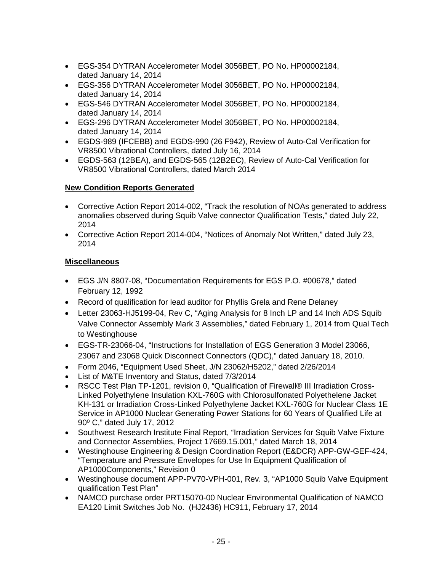- EGS-354 DYTRAN Accelerometer Model 3056BET, PO No. HP00002184, dated January 14, 2014
- EGS-356 DYTRAN Accelerometer Model 3056BET, PO No. HP00002184, dated January 14, 2014
- EGS-546 DYTRAN Accelerometer Model 3056BET, PO No. HP00002184, dated January 14, 2014
- EGS-296 DYTRAN Accelerometer Model 3056BET, PO No. HP00002184, dated January 14, 2014
- EGDS-989 (IFCEBB) and EGDS-990 (26 F942), Review of Auto-Cal Verification for VR8500 Vibrational Controllers, dated July 16, 2014
- EGDS-563 (12BEA), and EGDS-565 (12B2EC), Review of Auto-Cal Verification for VR8500 Vibrational Controllers, dated March 2014

# **New Condition Reports Generated**

- Corrective Action Report 2014-002, "Track the resolution of NOAs generated to address anomalies observed during Squib Valve connector Qualification Tests," dated July 22, 2014
- Corrective Action Report 2014-004, "Notices of Anomaly Not Written," dated July 23, 2014

# **Miscellaneous**

- EGS J/N 8807-08, "Documentation Requirements for EGS P.O. #00678," dated February 12, 1992
- Record of qualification for lead auditor for Phyllis Grela and Rene Delaney
- Letter 23063-HJ5199-04, Rev C, "Aging Analysis for 8 Inch LP and 14 Inch ADS Squib Valve Connector Assembly Mark 3 Assemblies," dated February 1, 2014 from Qual Tech to Westinghouse
- EGS-TR-23066-04, "Instructions for Installation of EGS Generation 3 Model 23066, 23067 and 23068 Quick Disconnect Connectors (QDC)," dated January 18, 2010.
- Form 2046, "Equipment Used Sheet, J/N 23062/H5202," dated 2/26/2014
- List of M&TE Inventory and Status, dated 7/3/2014
- RSCC Test Plan TP-1201, revision 0, "Qualification of Firewall® III Irradiation Cross-Linked Polyethylene Insulation KXL-760G with Chlorosulfonated Polyethelene Jacket KH-131 or Irradiation Cross-Linked Polyethylene Jacket KXL-760G for Nuclear Class 1E Service in AP1000 Nuclear Generating Power Stations for 60 Years of Qualified Life at 90º C," dated July 17, 2012
- Southwest Research Institute Final Report, "Irradiation Services for Squib Valve Fixture and Connector Assemblies, Project 17669.15.001," dated March 18, 2014
- Westinghouse Engineering & Design Coordination Report (E&DCR) APP-GW-GEF-424, "Temperature and Pressure Envelopes for Use In Equipment Qualification of AP1000Components," Revision 0
- Westinghouse document APP-PV70-VPH-001, Rev. 3, "AP1000 Squib Valve Equipment qualification Test Plan"
- NAMCO purchase order PRT15070-00 Nuclear Environmental Qualification of NAMCO EA120 Limit Switches Job No. (HJ2436) HC911, February 17, 2014